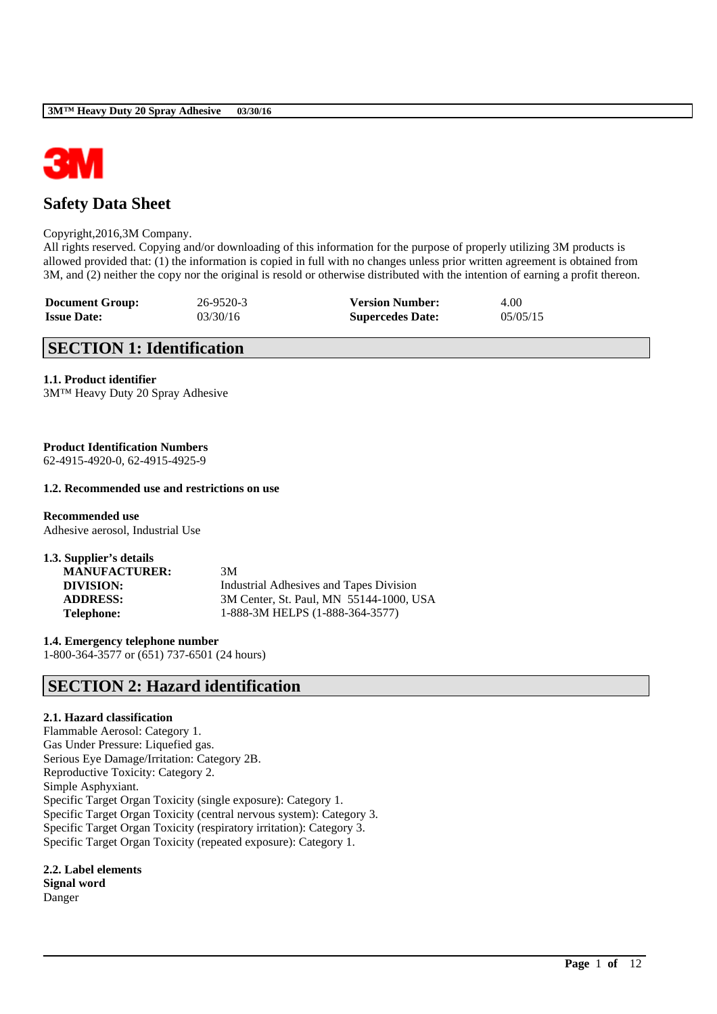

# **Safety Data Sheet**

### Copyright,2016,3M Company.

All rights reserved. Copying and/or downloading of this information for the purpose of properly utilizing 3M products is allowed provided that: (1) the information is copied in full with no changes unless prior written agreement is obtained from 3M, and (2) neither the copy nor the original is resold or otherwise distributed with the intention of earning a profit thereon.

| <b>Document Group:</b> | 26-9520-3 | <b>Version Number:</b>  | 4.00     |
|------------------------|-----------|-------------------------|----------|
| <b>Issue Date:</b>     | 03/30/16  | <b>Supercedes Date:</b> | 05/05/15 |

## **SECTION 1: Identification**

### **1.1. Product identifier**

3M™ Heavy Duty 20 Spray Adhesive

## **Product Identification Numbers**

62-4915-4920-0, 62-4915-4925-9

### **1.2. Recommended use and restrictions on use**

**Recommended use** Adhesive aerosol, Industrial Use

**1.3. Supplier's details MANUFACTURER:** 3M

**DIVISION:** Industrial Adhesives and Tapes Division **ADDRESS:** 3M Center, St. Paul, MN 55144-1000, USA **Telephone:** 1-888-3M HELPS (1-888-364-3577)

\_\_\_\_\_\_\_\_\_\_\_\_\_\_\_\_\_\_\_\_\_\_\_\_\_\_\_\_\_\_\_\_\_\_\_\_\_\_\_\_\_\_\_\_\_\_\_\_\_\_\_\_\_\_\_\_\_\_\_\_\_\_\_\_\_\_\_\_\_\_\_\_\_\_\_\_\_\_\_\_\_\_\_\_\_\_\_\_\_\_

**1.4. Emergency telephone number** 1-800-364-3577 or (651) 737-6501 (24 hours)

## **SECTION 2: Hazard identification**

### **2.1. Hazard classification**

Flammable Aerosol: Category 1. Gas Under Pressure: Liquefied gas. Serious Eye Damage/Irritation: Category 2B. Reproductive Toxicity: Category 2. Simple Asphyxiant. Specific Target Organ Toxicity (single exposure): Category 1. Specific Target Organ Toxicity (central nervous system): Category 3. Specific Target Organ Toxicity (respiratory irritation): Category 3. Specific Target Organ Toxicity (repeated exposure): Category 1.

## **2.2. Label elements**

**Signal word** Danger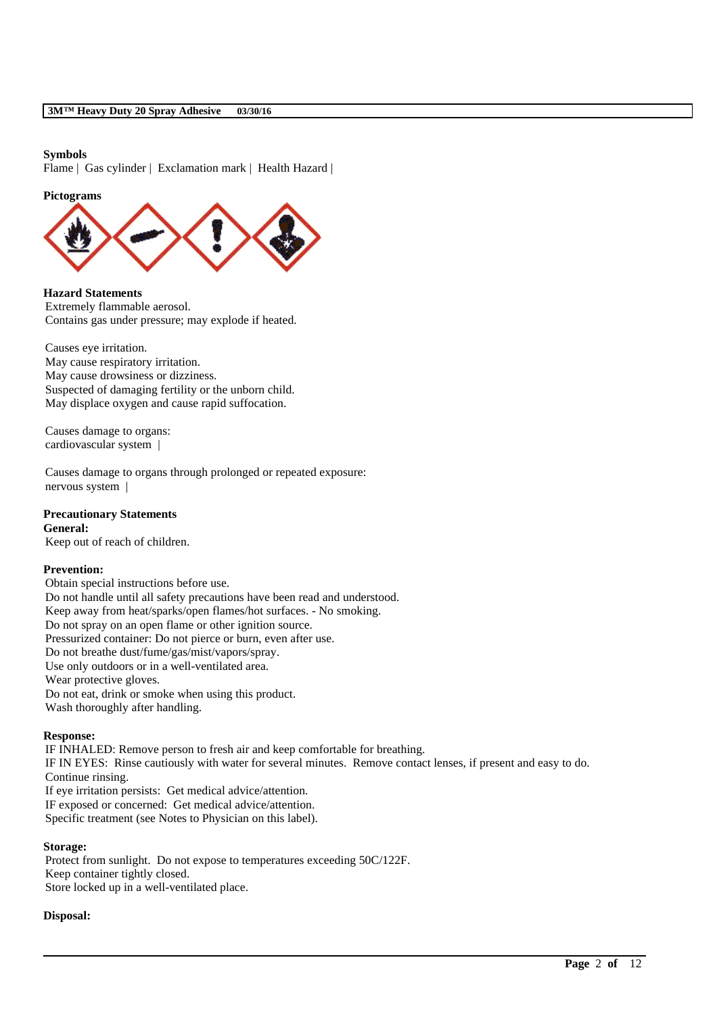### **Symbols**

Flame | Gas cylinder | Exclamation mark | Health Hazard |

#### **Pictograms**



**Hazard Statements** Extremely flammable aerosol. Contains gas under pressure; may explode if heated.

Causes eye irritation. May cause respiratory irritation. May cause drowsiness or dizziness. Suspected of damaging fertility or the unborn child. May displace oxygen and cause rapid suffocation.

Causes damage to organs: cardiovascular system |

Causes damage to organs through prolonged or repeated exposure: nervous system |

### **Precautionary Statements**

**General:** Keep out of reach of children.

### **Prevention:**

Obtain special instructions before use. Do not handle until all safety precautions have been read and understood. Keep away from heat/sparks/open flames/hot surfaces. - No smoking. Do not spray on an open flame or other ignition source. Pressurized container: Do not pierce or burn, even after use. Do not breathe dust/fume/gas/mist/vapors/spray. Use only outdoors or in a well-ventilated area. Wear protective gloves. Do not eat, drink or smoke when using this product. Wash thoroughly after handling.

### **Response:**

IF INHALED: Remove person to fresh air and keep comfortable for breathing. IF IN EYES: Rinse cautiously with water for several minutes. Remove contact lenses, if present and easy to do. Continue rinsing. If eye irritation persists: Get medical advice/attention. IF exposed or concerned: Get medical advice/attention. Specific treatment (see Notes to Physician on this label).

\_\_\_\_\_\_\_\_\_\_\_\_\_\_\_\_\_\_\_\_\_\_\_\_\_\_\_\_\_\_\_\_\_\_\_\_\_\_\_\_\_\_\_\_\_\_\_\_\_\_\_\_\_\_\_\_\_\_\_\_\_\_\_\_\_\_\_\_\_\_\_\_\_\_\_\_\_\_\_\_\_\_\_\_\_\_\_\_\_\_

### **Storage:**

Protect from sunlight. Do not expose to temperatures exceeding 50C/122F. Keep container tightly closed. Store locked up in a well-ventilated place.

### **Disposal:**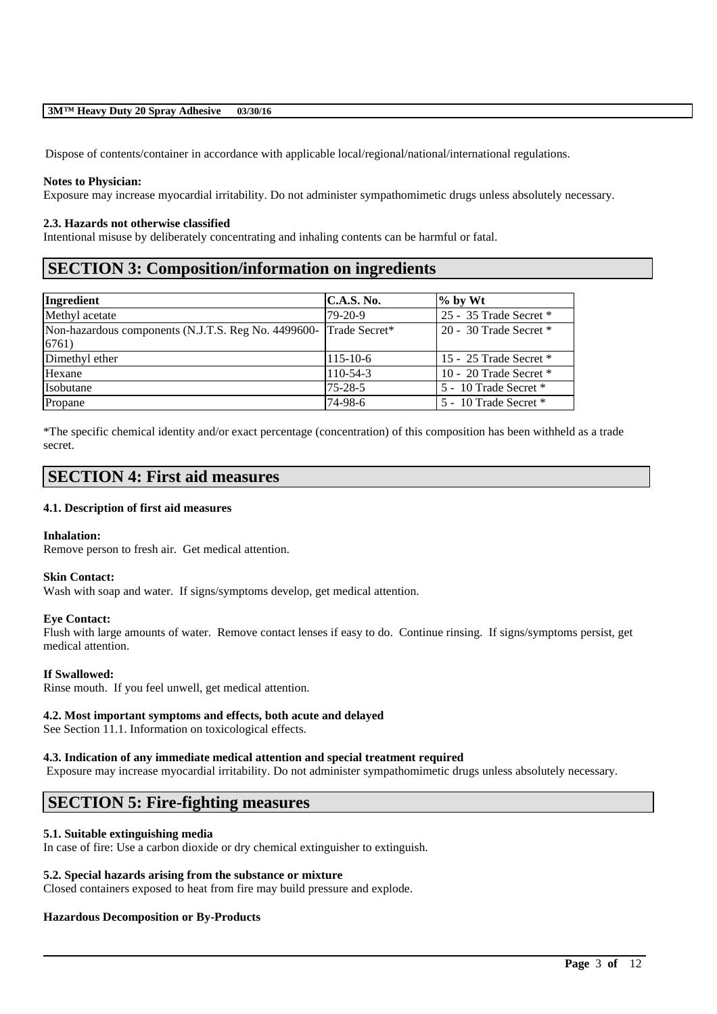Dispose of contents/container in accordance with applicable local/regional/national/international regulations.

### **Notes to Physician:**

Exposure may increase myocardial irritability. Do not administer sympathomimetic drugs unless absolutely necessary.

### **2.3. Hazards not otherwise classified**

Intentional misuse by deliberately concentrating and inhaling contents can be harmful or fatal.

# **SECTION 3: Composition/information on ingredients**

| Ingredient                                                                 | <b>C.A.S. No.</b> | $%$ by Wt                |
|----------------------------------------------------------------------------|-------------------|--------------------------|
| Methyl acetate                                                             | $79-20-9$         | 25 - 35 Trade Secret *   |
| Non-hazardous components (N.J.T.S. Reg No. 4499600- Trade Secret*<br>6761) |                   | 20 - 30 Trade Secret $*$ |
| Dimethyl ether                                                             | $115 - 10 - 6$    | 15 - 25 Trade Secret *   |
| Hexane                                                                     | 110-54-3          | 10 - 20 Trade Secret *   |
| Isobutane                                                                  | $75 - 28 - 5$     | 5 - 10 Trade Secret *    |
| Propane                                                                    | 74-98-6           | 5 - 10 Trade Secret *    |

\*The specific chemical identity and/or exact percentage (concentration) of this composition has been withheld as a trade secret.

## **SECTION 4: First aid measures**

### **4.1. Description of first aid measures**

### **Inhalation:**

Remove person to fresh air. Get medical attention.

### **Skin Contact:**

Wash with soap and water. If signs/symptoms develop, get medical attention.

### **Eye Contact:**

Flush with large amounts of water. Remove contact lenses if easy to do. Continue rinsing. If signs/symptoms persist, get medical attention.

### **If Swallowed:**

Rinse mouth. If you feel unwell, get medical attention.

### **4.2. Most important symptoms and effects, both acute and delayed**

See Section 11.1. Information on toxicological effects.

### **4.3. Indication of any immediate medical attention and special treatment required**

Exposure may increase myocardial irritability. Do not administer sympathomimetic drugs unless absolutely necessary.

\_\_\_\_\_\_\_\_\_\_\_\_\_\_\_\_\_\_\_\_\_\_\_\_\_\_\_\_\_\_\_\_\_\_\_\_\_\_\_\_\_\_\_\_\_\_\_\_\_\_\_\_\_\_\_\_\_\_\_\_\_\_\_\_\_\_\_\_\_\_\_\_\_\_\_\_\_\_\_\_\_\_\_\_\_\_\_\_\_\_

## **SECTION 5: Fire-fighting measures**

### **5.1. Suitable extinguishing media**

In case of fire: Use a carbon dioxide or dry chemical extinguisher to extinguish.

### **5.2. Special hazards arising from the substance or mixture**

Closed containers exposed to heat from fire may build pressure and explode.

### **Hazardous Decomposition or By-Products**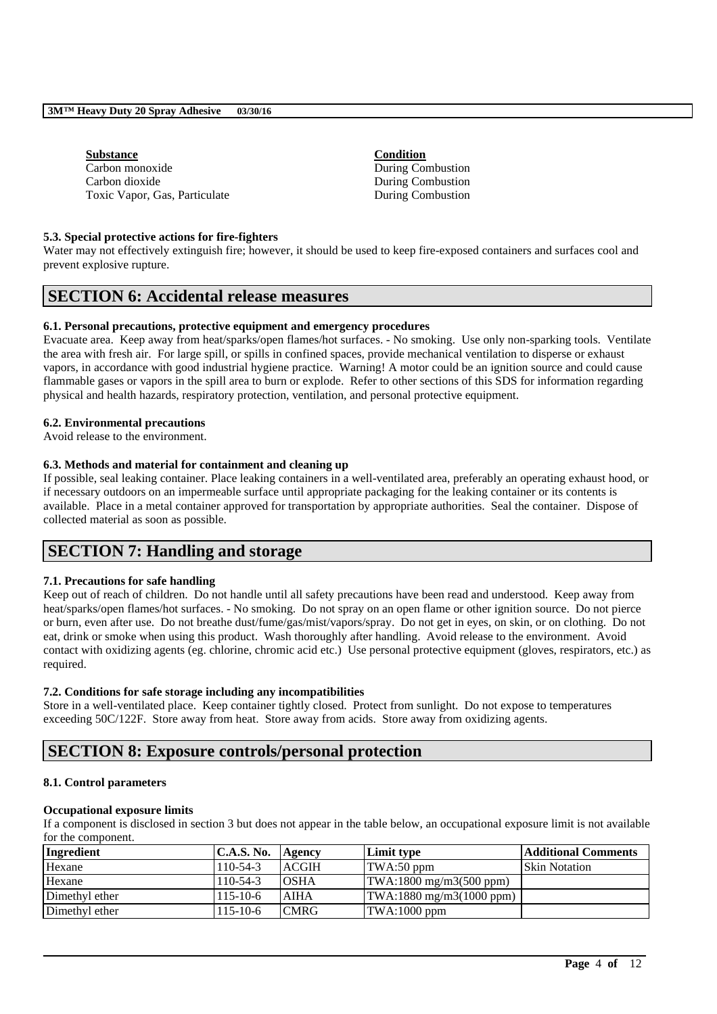### **Substance Condition** Carbon monoxide During Combustion Carbon dioxide During Combustion Toxic Vapor, Gas, Particulate During Combustion

## **5.3. Special protective actions for fire-fighters**

Water may not effectively extinguish fire; however, it should be used to keep fire-exposed containers and surfaces cool and prevent explosive rupture.

# **SECTION 6: Accidental release measures**

### **6.1. Personal precautions, protective equipment and emergency procedures**

Evacuate area. Keep away from heat/sparks/open flames/hot surfaces. - No smoking. Use only non-sparking tools. Ventilate the area with fresh air. For large spill, or spills in confined spaces, provide mechanical ventilation to disperse or exhaust vapors, in accordance with good industrial hygiene practice. Warning! A motor could be an ignition source and could cause flammable gases or vapors in the spill area to burn or explode. Refer to other sections of this SDS for information regarding physical and health hazards, respiratory protection, ventilation, and personal protective equipment.

### **6.2. Environmental precautions**

Avoid release to the environment.

### **6.3. Methods and material for containment and cleaning up**

If possible, seal leaking container. Place leaking containers in a well-ventilated area, preferably an operating exhaust hood, or if necessary outdoors on an impermeable surface until appropriate packaging for the leaking container or its contents is available. Place in a metal container approved for transportation by appropriate authorities. Seal the container. Dispose of collected material as soon as possible.

# **SECTION 7: Handling and storage**

### **7.1. Precautions for safe handling**

Keep out of reach of children. Do not handle until all safety precautions have been read and understood. Keep away from heat/sparks/open flames/hot surfaces. - No smoking. Do not spray on an open flame or other ignition source. Do not pierce or burn, even after use. Do not breathe dust/fume/gas/mist/vapors/spray. Do not get in eyes, on skin, or on clothing. Do not eat, drink or smoke when using this product. Wash thoroughly after handling. Avoid release to the environment. Avoid contact with oxidizing agents (eg. chlorine, chromic acid etc.) Use personal protective equipment (gloves, respirators, etc.) as required.

### **7.2. Conditions for safe storage including any incompatibilities**

Store in a well-ventilated place. Keep container tightly closed. Protect from sunlight. Do not expose to temperatures exceeding 50C/122F. Store away from heat. Store away from acids. Store away from oxidizing agents.

# **SECTION 8: Exposure controls/personal protection**

### **8.1. Control parameters**

### **Occupational exposure limits**

If a component is disclosed in section 3 but does not appear in the table below, an occupational exposure limit is not available for the component.

| Ingredient     | C.A.S. No.     | Agency       | Limit type                                        | Additional Comments  |
|----------------|----------------|--------------|---------------------------------------------------|----------------------|
| Hexane         | $110-54-3$     | <b>ACGIH</b> | TWA:50 ppm                                        | <b>Skin Notation</b> |
| Hexane         | $110-54-3$     | <b>OSHA</b>  | $\text{TWA:1800 mg/m3(500 ppm)}$                  |                      |
| Dimethyl ether | $115 - 10 - 6$ | <b>AIHA</b>  | $\text{TWA}:1880 \text{ mg/m}3(1000 \text{ ppm})$ |                      |
| Dimethyl ether | $115 - 10 - 6$ | <b>CMRG</b>  | TWA:1000 ppm                                      |                      |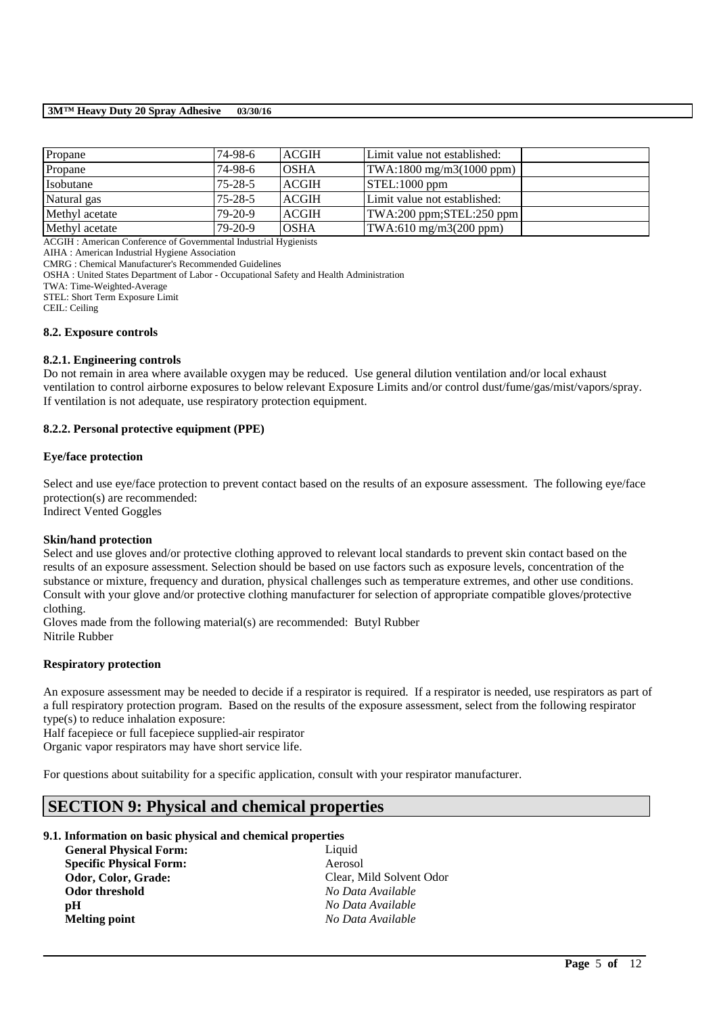| Propane        | 74-98-6       | <b>ACGIH</b> | Limit value not established: |  |
|----------------|---------------|--------------|------------------------------|--|
| Propane        | 74-98-6       | <b>OSHA</b>  | TWA:1800 mg/m3(1000 ppm)     |  |
| Isobutane      | $75 - 28 - 5$ | <b>ACGIH</b> | $STEL:1000$ ppm              |  |
| Natural gas    | $75 - 28 - 5$ | <b>ACGIH</b> | Limit value not established: |  |
| Methyl acetate | $79-20-9$     | <b>ACGIH</b> | TWA:200 ppm;STEL:250 ppm     |  |
| Methyl acetate | $79-20-9$     | <b>OSHA</b>  | TWA:610 mg/m3(200 ppm)       |  |

ACGIH : American Conference of Governmental Industrial Hygienists

AIHA : American Industrial Hygiene Association

CMRG : Chemical Manufacturer's Recommended Guidelines

OSHA : United States Department of Labor - Occupational Safety and Health Administration

TWA: Time-Weighted-Average

STEL: Short Term Exposure Limit

CEIL: Ceiling

### **8.2. Exposure controls**

### **8.2.1. Engineering controls**

Do not remain in area where available oxygen may be reduced. Use general dilution ventilation and/or local exhaust ventilation to control airborne exposures to below relevant Exposure Limits and/or control dust/fume/gas/mist/vapors/spray. If ventilation is not adequate, use respiratory protection equipment.

### **8.2.2. Personal protective equipment (PPE)**

### **Eye/face protection**

Select and use eve/face protection to prevent contact based on the results of an exposure assessment. The following eve/face protection(s) are recommended:

Indirect Vented Goggles

### **Skin/hand protection**

Select and use gloves and/or protective clothing approved to relevant local standards to prevent skin contact based on the results of an exposure assessment. Selection should be based on use factors such as exposure levels, concentration of the substance or mixture, frequency and duration, physical challenges such as temperature extremes, and other use conditions. Consult with your glove and/or protective clothing manufacturer for selection of appropriate compatible gloves/protective clothing.

Gloves made from the following material(s) are recommended: Butyl Rubber Nitrile Rubber

### **Respiratory protection**

An exposure assessment may be needed to decide if a respirator is required. If a respirator is needed, use respirators as part of a full respiratory protection program. Based on the results of the exposure assessment, select from the following respirator type(s) to reduce inhalation exposure:

\_\_\_\_\_\_\_\_\_\_\_\_\_\_\_\_\_\_\_\_\_\_\_\_\_\_\_\_\_\_\_\_\_\_\_\_\_\_\_\_\_\_\_\_\_\_\_\_\_\_\_\_\_\_\_\_\_\_\_\_\_\_\_\_\_\_\_\_\_\_\_\_\_\_\_\_\_\_\_\_\_\_\_\_\_\_\_\_\_\_

Half facepiece or full facepiece supplied-air respirator

Organic vapor respirators may have short service life.

For questions about suitability for a specific application, consult with your respirator manufacturer.

# **SECTION 9: Physical and chemical properties**

### **9.1. Information on basic physical and chemical properties**

| <b>General Physical Form:</b>  | Liquid                   |
|--------------------------------|--------------------------|
| <b>Specific Physical Form:</b> | Aerosol                  |
| Odor, Color, Grade:            | Clear, Mild Solvent Odor |
| Odor threshold                 | No Data Available        |
| рH                             | No Data Available        |
| <b>Melting point</b>           | No Data Available        |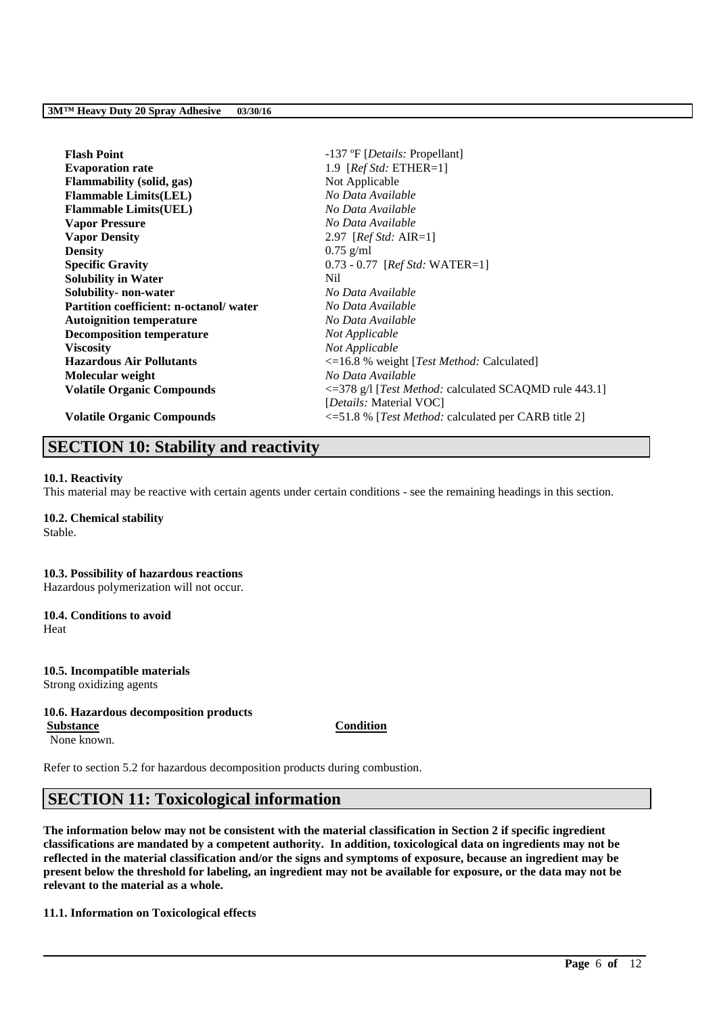| <b>Flash Point</b>                     | -137 °F [ <i>Details:</i> Propellant]                             |
|----------------------------------------|-------------------------------------------------------------------|
| <b>Evaporation rate</b>                | 1.9 [ $RefStd: ETHER=1$ ]                                         |
| <b>Flammability</b> (solid, gas)       | Not Applicable                                                    |
| <b>Flammable Limits(LEL)</b>           | No Data Available                                                 |
| <b>Flammable Limits(UEL)</b>           | No Data Available                                                 |
| <b>Vapor Pressure</b>                  | No Data Available                                                 |
| <b>Vapor Density</b>                   | 2.97 [ <i>Ref Std: AIR=1</i> ]                                    |
| <b>Density</b>                         | $0.75$ g/ml                                                       |
| <b>Specific Gravity</b>                | $0.73 - 0.77$ [Ref Std: WATER=1]                                  |
| <b>Solubility in Water</b>             | Nil                                                               |
| Solubility- non-water                  | No Data Available                                                 |
| Partition coefficient: n-octanol/water | No Data Available                                                 |
| <b>Autoignition temperature</b>        | No Data Available                                                 |
| <b>Decomposition temperature</b>       | Not Applicable                                                    |
| <b>Viscosity</b>                       | Not Applicable                                                    |
| <b>Hazardous Air Pollutants</b>        | $\leq$ 16.8 % weight [ <i>Test Method:</i> Calculated]            |
| Molecular weight                       | No Data Available                                                 |
| <b>Volatile Organic Compounds</b>      | <= 378 g/l [Test Method: calculated SCAQMD rule 443.1]            |
|                                        | [Details: Material VOC]                                           |
| <b>Volatile Organic Compounds</b>      | $\leq$ =51.8 % [ <i>Test Method:</i> calculated per CARB title 2] |

# **SECTION 10: Stability and reactivity**

### **10.1. Reactivity**

This material may be reactive with certain agents under certain conditions - see the remaining headings in this section.

## **10.2. Chemical stability**

Stable.

### **10.3. Possibility of hazardous reactions** Hazardous polymerization will not occur.

**10.4. Conditions to avoid**

Heat

# **10.5. Incompatible materials**

Strong oxidizing agents

### **10.6. Hazardous decomposition products**

**Substance Condition**

None known.

Refer to section 5.2 for hazardous decomposition products during combustion.

# **SECTION 11: Toxicological information**

**The information below may not be consistent with the material classification in Section 2 if specific ingredient classifications are mandated by a competent authority. In addition, toxicological data on ingredients may not be reflected in the material classification and/or the signs and symptoms of exposure, because an ingredient may be present below the threshold for labeling, an ingredient may not be available for exposure, or the data may not be relevant to the material as a whole.**

\_\_\_\_\_\_\_\_\_\_\_\_\_\_\_\_\_\_\_\_\_\_\_\_\_\_\_\_\_\_\_\_\_\_\_\_\_\_\_\_\_\_\_\_\_\_\_\_\_\_\_\_\_\_\_\_\_\_\_\_\_\_\_\_\_\_\_\_\_\_\_\_\_\_\_\_\_\_\_\_\_\_\_\_\_\_\_\_\_\_

### **11.1. Information on Toxicological effects**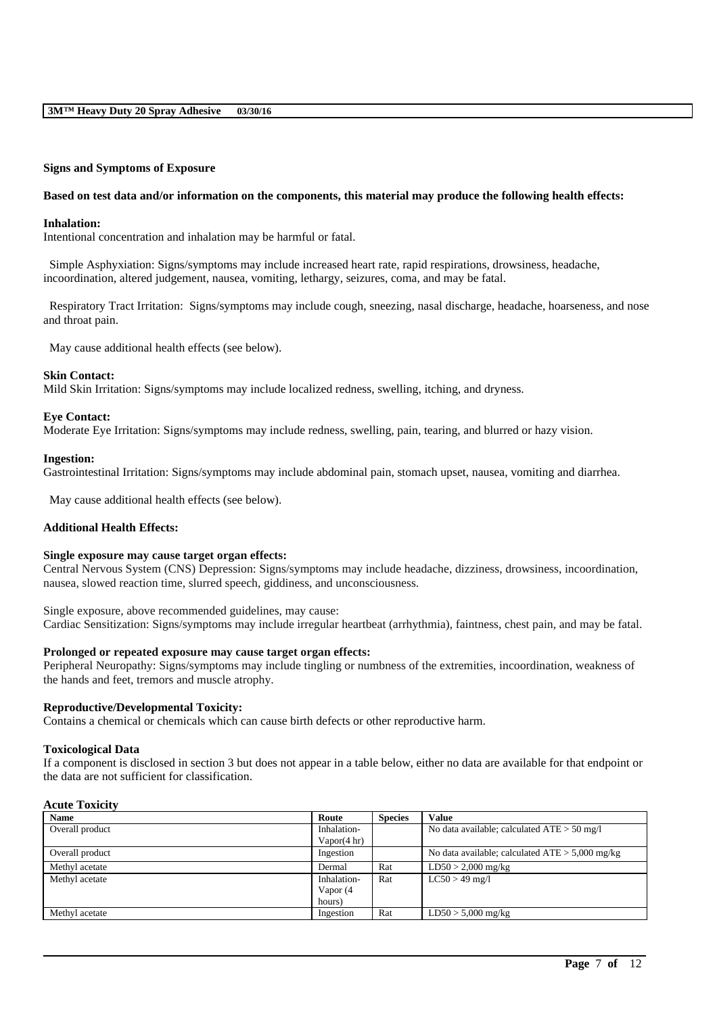### **Signs and Symptoms of Exposure**

### **Based on test data and/or information on the components, this material may produce the following health effects:**

### **Inhalation:**

Intentional concentration and inhalation may be harmful or fatal.

Simple Asphyxiation: Signs/symptoms may include increased heart rate, rapid respirations, drowsiness, headache, incoordination, altered judgement, nausea, vomiting, lethargy, seizures, coma, and may be fatal.

Respiratory Tract Irritation: Signs/symptoms may include cough, sneezing, nasal discharge, headache, hoarseness, and nose and throat pain.

May cause additional health effects (see below).

### **Skin Contact:**

Mild Skin Irritation: Signs/symptoms may include localized redness, swelling, itching, and dryness.

### **Eye Contact:**

Moderate Eye Irritation: Signs/symptoms may include redness, swelling, pain, tearing, and blurred or hazy vision.

### **Ingestion:**

Gastrointestinal Irritation: Signs/symptoms may include abdominal pain, stomach upset, nausea, vomiting and diarrhea.

May cause additional health effects (see below).

### **Additional Health Effects:**

### **Single exposure may cause target organ effects:**

Central Nervous System (CNS) Depression: Signs/symptoms may include headache, dizziness, drowsiness, incoordination, nausea, slowed reaction time, slurred speech, giddiness, and unconsciousness.

Single exposure, above recommended guidelines, may cause: Cardiac Sensitization: Signs/symptoms may include irregular heartbeat (arrhythmia), faintness, chest pain, and may be fatal.

### **Prolonged or repeated exposure may cause target organ effects:**

Peripheral Neuropathy: Signs/symptoms may include tingling or numbness of the extremities, incoordination, weakness of the hands and feet, tremors and muscle atrophy.

### **Reproductive/Developmental Toxicity:**

Contains a chemical or chemicals which can cause birth defects or other reproductive harm.

### **Toxicological Data**

If a component is disclosed in section 3 but does not appear in a table below, either no data are available for that endpoint or the data are not sufficient for classification.

### **Acute Toxicity**

| <b>Name</b>     | Route                             | <b>Species</b> | <b>Value</b>                                      |
|-----------------|-----------------------------------|----------------|---------------------------------------------------|
| Overall product | Inhalation-<br>Vapor(4 hr)        |                | No data available; calculated $ATE > 50$ mg/l     |
| Overall product | Ingestion                         |                | No data available; calculated $ATE > 5,000$ mg/kg |
| Methyl acetate  | Dermal                            | Rat            | $LD50 > 2,000$ mg/kg                              |
| Methyl acetate  | Inhalation-<br>Vapor (4<br>hours) | Rat            | $LC50 > 49$ mg/l                                  |
| Methyl acetate  | Ingestion                         | Rat            | $LD50 > 5,000$ mg/kg                              |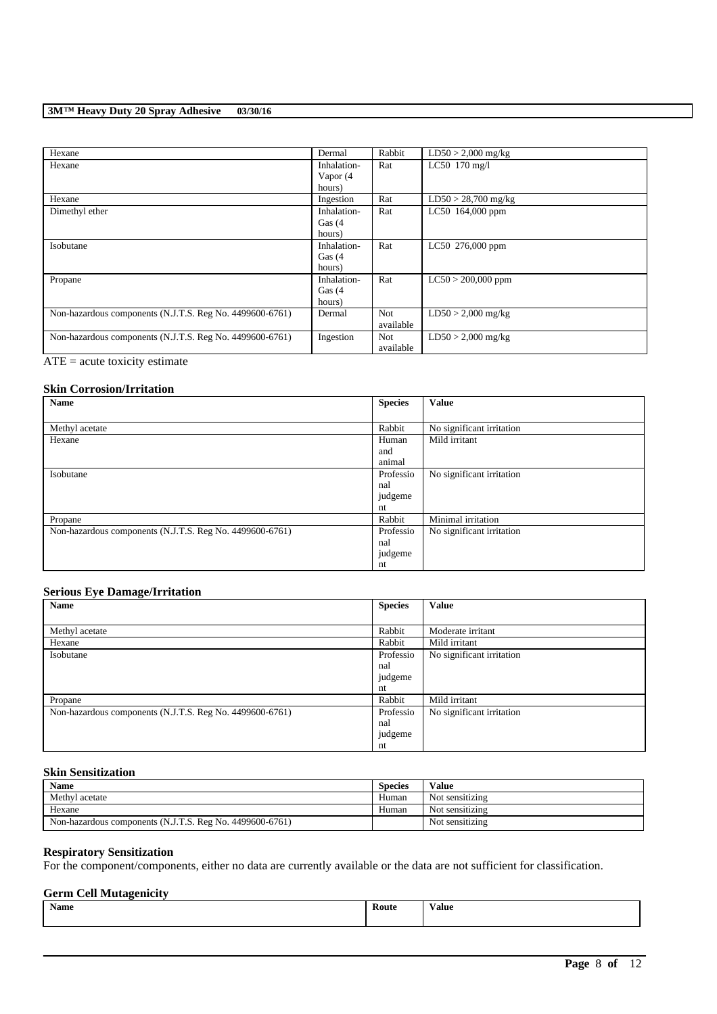| Hexane                                                   | Dermal      | Rabbit     | $LD50 > 2,000$ mg/kg  |
|----------------------------------------------------------|-------------|------------|-----------------------|
| Hexane                                                   | Inhalation- | Rat        | LC50 170 mg/l         |
|                                                          | Vapor (4    |            |                       |
|                                                          | hours)      |            |                       |
| Hexane                                                   | Ingestion   | Rat        | $LD50 > 28,700$ mg/kg |
| Dimethyl ether                                           | Inhalation- | Rat        | LC50 164,000 ppm      |
|                                                          | Gas $(4)$   |            |                       |
|                                                          | hours)      |            |                       |
| Isobutane                                                | Inhalation- | Rat        | LC50 276,000 ppm      |
|                                                          | Gas $(4)$   |            |                       |
|                                                          | hours)      |            |                       |
| Propane                                                  | Inhalation- | Rat        | $LC50 > 200,000$ ppm  |
|                                                          | Gas $(4)$   |            |                       |
|                                                          | hours)      |            |                       |
| Non-hazardous components (N.J.T.S. Reg No. 4499600-6761) | Dermal      | <b>Not</b> | $LD50 > 2,000$ mg/kg  |
|                                                          |             | available  |                       |
| Non-hazardous components (N.J.T.S. Reg No. 4499600-6761) | Ingestion   | <b>Not</b> | $LD50 > 2,000$ mg/kg  |
|                                                          |             | available  |                       |

 $\overline{ATE}$  = acute toxicity estimate

## **Skin Corrosion/Irritation**

| <b>Name</b>                                              | <b>Species</b> | <b>Value</b>              |
|----------------------------------------------------------|----------------|---------------------------|
|                                                          |                |                           |
| Methyl acetate                                           | Rabbit         | No significant irritation |
| Hexane                                                   | Human          | Mild irritant             |
|                                                          | and            |                           |
|                                                          | animal         |                           |
| Isobutane                                                | Professio      | No significant irritation |
|                                                          | nal            |                           |
|                                                          | judgeme        |                           |
|                                                          | nt             |                           |
| Propane                                                  | Rabbit         | Minimal irritation        |
| Non-hazardous components (N.J.T.S. Reg No. 4499600-6761) | Professio      | No significant irritation |
|                                                          | nal            |                           |
|                                                          | judgeme        |                           |
|                                                          | nt             |                           |

## **Serious Eye Damage/Irritation**

| Name                                                     | <b>Species</b> | <b>Value</b>              |
|----------------------------------------------------------|----------------|---------------------------|
|                                                          |                |                           |
| Methyl acetate                                           | Rabbit         | Moderate irritant         |
| Hexane                                                   | Rabbit         | Mild irritant             |
| Isobutane                                                | Professio      | No significant irritation |
|                                                          | nal            |                           |
|                                                          | judgeme        |                           |
|                                                          | nt             |                           |
| Propane                                                  | Rabbit         | Mild irritant             |
| Non-hazardous components (N.J.T.S. Reg No. 4499600-6761) | Professio      | No significant irritation |
|                                                          | nal            |                           |
|                                                          | judgeme        |                           |
|                                                          | nt             |                           |

## **Skin Sensitization**

| <b>Name</b>                                              | <b>Species</b> | Value           |
|----------------------------------------------------------|----------------|-----------------|
| Methyl acetate                                           | Human          | Not sensitizing |
| Hexane                                                   | Human          | Not sensitizing |
| Non-hazardous components (N.J.T.S. Reg No. 4499600-6761) |                | Not sensitizing |

## **Respiratory Sensitization**

For the component/components, either no data are currently available or the data are not sufficient for classification.

# **Germ Cell Mutagenicity**

| <b>Name</b> | <b>Route</b> | alue/ |
|-------------|--------------|-------|
|             |              |       |
|             |              |       |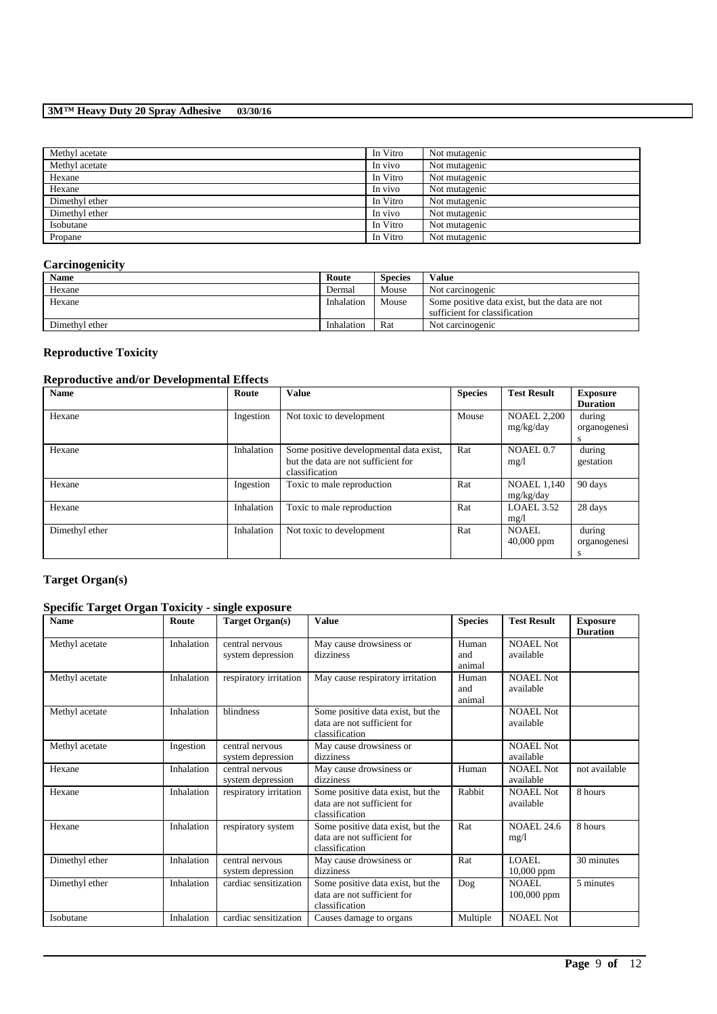| Methyl acetate | In Vitro | Not mutagenic |
|----------------|----------|---------------|
| Methyl acetate | In vivo  | Not mutagenic |
| Hexane         | In Vitro | Not mutagenic |
| Hexane         | In vivo  | Not mutagenic |
| Dimethyl ether | In Vitro | Not mutagenic |
| Dimethyl ether | In vivo  | Not mutagenic |
| Isobutane      | In Vitro | Not mutagenic |
| Propane        | In Vitro | Not mutagenic |
|                |          |               |

## **Carcinogenicity**

| <b>Name</b>    | Route      | <b>Species</b> | Value                                                                           |
|----------------|------------|----------------|---------------------------------------------------------------------------------|
| Hexane         | Dermal     | Mouse          | Not carcinogenic                                                                |
| Hexane         | Inhalation | Mouse          | Some positive data exist, but the data are not<br>sufficient for classification |
| Dimethyl ether | Inhalation | Rat            | Not carcinogenic                                                                |

# **Reproductive Toxicity**

## **Reproductive and/or Developmental Effects**

| <b>Name</b>    | Route      | <b>Value</b>                                                                                     | <b>Species</b> | <b>Test Result</b>              | <b>Exposure</b><br><b>Duration</b> |
|----------------|------------|--------------------------------------------------------------------------------------------------|----------------|---------------------------------|------------------------------------|
| Hexane         | Ingestion  | Not toxic to development                                                                         | Mouse          | <b>NOAEL 2,200</b><br>mg/kg/day | during<br>organogenesi<br>s        |
| Hexane         | Inhalation | Some positive developmental data exist,<br>but the data are not sufficient for<br>classification | Rat            | NOAEL 0.7<br>mg/1               | during<br>gestation                |
| Hexane         | Ingestion  | Toxic to male reproduction                                                                       | Rat            | <b>NOAEL 1,140</b><br>mg/kg/day | 90 days                            |
| Hexane         | Inhalation | Toxic to male reproduction                                                                       | Rat            | LOAEL 3.52<br>mg/1              | 28 days                            |
| Dimethyl ether | Inhalation | Not toxic to development                                                                         | Rat            | NOAEL.<br>$40,000$ ppm          | during<br>organogenesi<br>s        |

# **Target Organ(s)**

# **Specific Target Organ Toxicity - single exposure**

| <b>Name</b>    | Route      | Target Organ(s)                      | <b>Value</b>                                                                       | <b>Species</b>         | <b>Test Result</b>            | <b>Exposure</b><br><b>Duration</b> |
|----------------|------------|--------------------------------------|------------------------------------------------------------------------------------|------------------------|-------------------------------|------------------------------------|
| Methyl acetate | Inhalation | central nervous<br>system depression | May cause drowsiness or<br>dizziness                                               | Human<br>and<br>animal | <b>NOAEL Not</b><br>available |                                    |
| Methyl acetate | Inhalation | respiratory irritation               | May cause respiratory irritation                                                   | Human<br>and<br>animal | NOAEL Not<br>available        |                                    |
| Methyl acetate | Inhalation | blindness                            | Some positive data exist, but the<br>data are not sufficient for<br>classification |                        | <b>NOAEL Not</b><br>available |                                    |
| Methyl acetate | Ingestion  | central nervous<br>system depression | May cause drowsiness or<br>dizziness                                               |                        | <b>NOAEL Not</b><br>available |                                    |
| Hexane         | Inhalation | central nervous<br>system depression | May cause drowsiness or<br>dizziness                                               | Human                  | <b>NOAEL Not</b><br>available | not available                      |
| Hexane         | Inhalation | respiratory irritation               | Some positive data exist, but the<br>data are not sufficient for<br>classification | Rabbit                 | <b>NOAEL Not</b><br>available | 8 hours                            |
| Hexane         | Inhalation | respiratory system                   | Some positive data exist, but the<br>data are not sufficient for<br>classification | Rat                    | <b>NOAEL 24.6</b><br>mg/1     | 8 hours                            |
| Dimethyl ether | Inhalation | central nervous<br>system depression | May cause drowsiness or<br>dizziness                                               | Rat                    | LOAEL.<br>10,000 ppm          | 30 minutes                         |
| Dimethyl ether | Inhalation | cardiac sensitization                | Some positive data exist, but the<br>data are not sufficient for<br>classification | Dog                    | NOAEL.<br>$100,000$ ppm       | 5 minutes                          |
| Isobutane      | Inhalation | cardiac sensitization                | Causes damage to organs                                                            | Multiple               | <b>NOAEL Not</b>              |                                    |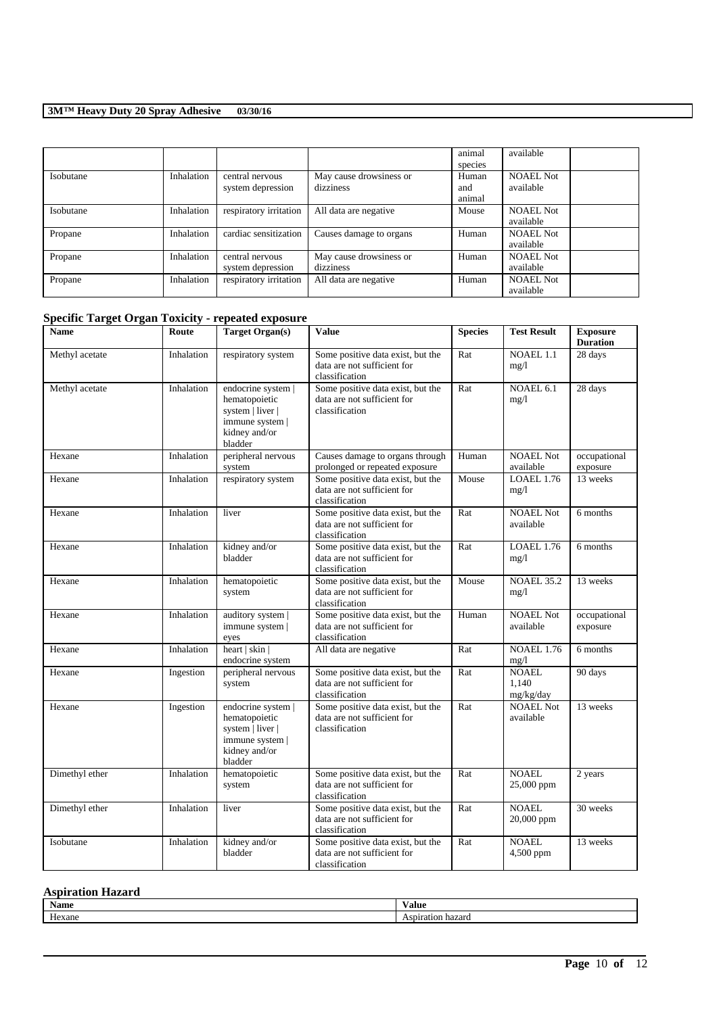|           |            |                        |                         | animal  | available        |
|-----------|------------|------------------------|-------------------------|---------|------------------|
|           |            |                        |                         | species |                  |
| Isobutane | Inhalation | central nervous        | May cause drowsiness or | Human   | <b>NOAEL Not</b> |
|           |            | system depression      | dizziness               | and     | available        |
|           |            |                        |                         | animal  |                  |
| Isobutane | Inhalation | respiratory irritation | All data are negative   | Mouse   | <b>NOAEL Not</b> |
|           |            |                        |                         |         | available        |
| Propane   | Inhalation | cardiac sensitization  | Causes damage to organs | Human   | <b>NOAEL Not</b> |
|           |            |                        |                         |         | available        |
| Propane   | Inhalation | central nervous        | May cause drowsiness or | Human   | <b>NOAEL Not</b> |
|           |            | system depression      | dizziness               |         | available        |
| Propane   | Inhalation | respiratory irritation | All data are negative   | Human   | <b>NOAEL Not</b> |
|           |            |                        |                         |         | available        |

## **Specific Target Organ Toxicity - repeated exposure**

| Name           | Route      | <b>Target Organ(s)</b>                                                                                 | <b>Value</b>                                                                       | <b>Species</b> | <b>Test Result</b>                 | <b>Exposure</b><br><b>Duration</b> |
|----------------|------------|--------------------------------------------------------------------------------------------------------|------------------------------------------------------------------------------------|----------------|------------------------------------|------------------------------------|
| Methyl acetate | Inhalation | respiratory system                                                                                     | Some positive data exist, but the<br>data are not sufficient for<br>classification | Rat            | <b>NOAEL 1.1</b><br>mg/1           | 28 days                            |
| Methyl acetate | Inhalation | endocrine system  <br>hematopoietic<br>system   liver  <br>immune system  <br>kidney and/or<br>bladder | Some positive data exist, but the<br>data are not sufficient for<br>classification | Rat            | NOAEL 6.1<br>mg/1                  | 28 days                            |
| Hexane         | Inhalation | peripheral nervous<br>system                                                                           | Causes damage to organs through<br>prolonged or repeated exposure                  | Human          | <b>NOAEL Not</b><br>available      | occupational<br>exposure           |
| Hexane         | Inhalation | respiratory system                                                                                     | Some positive data exist, but the<br>data are not sufficient for<br>classification | Mouse          | <b>LOAEL 1.76</b><br>mg/1          | 13 weeks                           |
| Hexane         | Inhalation | liver                                                                                                  | Some positive data exist, but the<br>data are not sufficient for<br>classification | Rat            | <b>NOAEL Not</b><br>available      | 6 months                           |
| Hexane         | Inhalation | kidney and/or<br>bladder                                                                               | Some positive data exist, but the<br>data are not sufficient for<br>classification | Rat            | LOAEL 1.76<br>mg/1                 | 6 months                           |
| Hexane         | Inhalation | hematopoietic<br>system                                                                                | Some positive data exist, but the<br>data are not sufficient for<br>classification | Mouse          | <b>NOAEL 35.2</b><br>mg/1          | 13 weeks                           |
| Hexane         | Inhalation | auditory system<br>immune system  <br>eyes                                                             | Some positive data exist, but the<br>data are not sufficient for<br>classification | Human          | <b>NOAEL Not</b><br>available      | occupational<br>exposure           |
| Hexane         | Inhalation | heart   skin  <br>endocrine system                                                                     | All data are negative                                                              | Rat            | <b>NOAEL 1.76</b><br>mg/1          | 6 months                           |
| Hexane         | Ingestion  | peripheral nervous<br>system                                                                           | Some positive data exist, but the<br>data are not sufficient for<br>classification | Rat            | <b>NOAEL</b><br>1,140<br>mg/kg/day | 90 days                            |
| Hexane         | Ingestion  | endocrine system  <br>hematopoietic<br>system   liver  <br>immune system  <br>kidney and/or<br>bladder | Some positive data exist, but the<br>data are not sufficient for<br>classification | Rat            | <b>NOAEL Not</b><br>available      | 13 weeks                           |
| Dimethyl ether | Inhalation | hematopoietic<br>system                                                                                | Some positive data exist, but the<br>data are not sufficient for<br>classification | Rat            | <b>NOAEL</b><br>25,000 ppm         | 2 years                            |
| Dimethyl ether | Inhalation | liver                                                                                                  | Some positive data exist, but the<br>data are not sufficient for<br>classification | Rat            | <b>NOAEL</b><br>20,000 ppm         | 30 weeks                           |
| Isobutane      | Inhalation | kidney and/or<br>bladder                                                                               | Some positive data exist, but the<br>data are not sufficient for<br>classification | Rat            | <b>NOAEL</b><br>4,500 ppm          | 13 weeks                           |

## **Aspiration Hazard**

| <b>Name</b>                         | Value |
|-------------------------------------|-------|
| $\mathbf{r}$<br>$  \alpha$ $\alpha$ |       |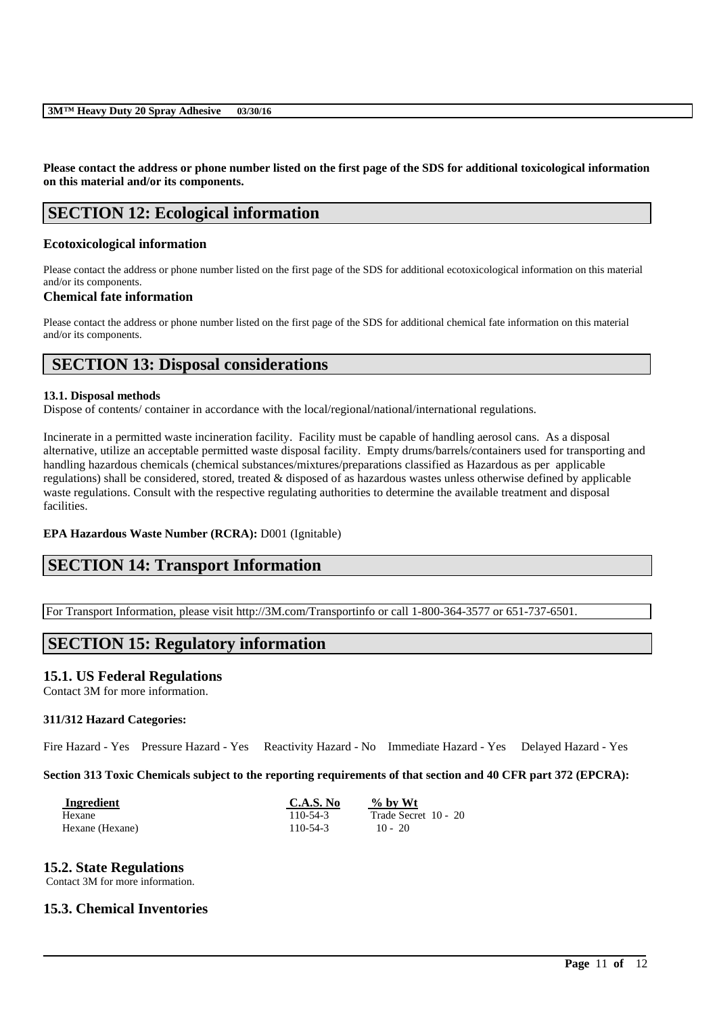**Please contact the address or phone number listed on the first page of the SDS for additional toxicological information on this material and/or its components.**

# **SECTION 12: Ecological information**

### **Ecotoxicological information**

Please contact the address or phone number listed on the first page of the SDS for additional ecotoxicological information on this material and/or its components.

### **Chemical fate information**

Please contact the address or phone number listed on the first page of the SDS for additional chemical fate information on this material and/or its components.

# **SECTION 13: Disposal considerations**

### **13.1. Disposal methods**

Dispose of contents/ container in accordance with the local/regional/national/international regulations.

Incinerate in a permitted waste incineration facility. Facility must be capable of handling aerosol cans. As a disposal alternative, utilize an acceptable permitted waste disposal facility. Empty drums/barrels/containers used for transporting and handling hazardous chemicals (chemical substances/mixtures/preparations classified as Hazardous as per applicable regulations) shall be considered, stored, treated & disposed of as hazardous wastes unless otherwise defined by applicable waste regulations. Consult with the respective regulating authorities to determine the available treatment and disposal facilities.

### **EPA Hazardous Waste Number (RCRA):** D001 (Ignitable)

# **SECTION 14: Transport Information**

For Transport Information, please visit http://3M.com/Transportinfo or call 1-800-364-3577 or 651-737-6501.

# **SECTION 15: Regulatory information**

### **15.1. US Federal Regulations**

Contact 3M for more information.

### **311/312 Hazard Categories:**

Fire Hazard - Yes Pressure Hazard - Yes Reactivity Hazard - No Immediate Hazard - Yes Delayed Hazard - Yes

**Section 313 Toxic Chemicals subject to the reporting requirements of that section and 40 CFR part 372 (EPCRA):**

\_\_\_\_\_\_\_\_\_\_\_\_\_\_\_\_\_\_\_\_\_\_\_\_\_\_\_\_\_\_\_\_\_\_\_\_\_\_\_\_\_\_\_\_\_\_\_\_\_\_\_\_\_\_\_\_\_\_\_\_\_\_\_\_\_\_\_\_\_\_\_\_\_\_\_\_\_\_\_\_\_\_\_\_\_\_\_\_\_\_

| Ingredient      | C.A.S. No | % by Wt              |
|-----------------|-----------|----------------------|
| Hexane          | 110-54-3  | Trade Secret 10 - 20 |
| Hexane (Hexane) | 110-54-3  | $10 - 20$            |

### **15.2. State Regulations**

Contact 3M for more information.

## **15.3. Chemical Inventories**